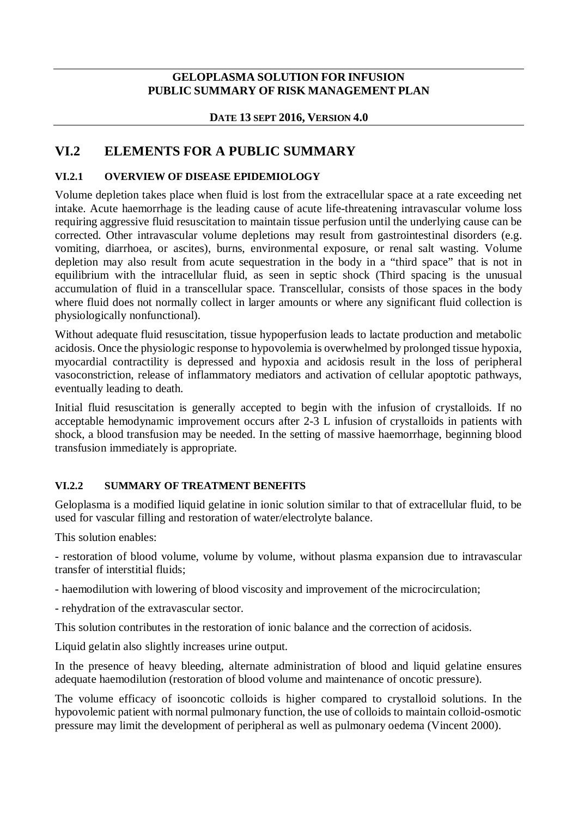### **GELOPLASMA SOLUTION FOR INFUSION PUBLIC SUMMARY OF RISK MANAGEMENT PLAN**

### **DATE 13 SEPT 2016, VERSION 4.0**

# **VI.2 ELEMENTS FOR A PUBLIC SUMMARY**

### **VI.2.1 OVERVIEW OF DISEASE EPIDEMIOLOGY**

Volume depletion takes place when fluid is lost from the extracellular space at a rate exceeding net intake. Acute haemorrhage is the leading cause of acute life-threatening intravascular volume loss requiring aggressive fluid resuscitation to maintain tissue perfusion until the underlying cause can be corrected. Other intravascular volume depletions may result from gastrointestinal disorders (e.g. vomiting, diarrhoea, or ascites), burns, environmental exposure, or renal salt wasting. Volume depletion may also result from acute sequestration in the body in a "third space" that is not in equilibrium with the intracellular fluid, as seen in septic shock (Third spacing is the unusual accumulation of fluid in a transcellular space. Transcellular, consists of those spaces in the body where fluid does not normally collect in larger amounts or where any significant fluid collection is physiologically nonfunctional).

Without adequate fluid resuscitation, tissue hypoperfusion leads to lactate production and metabolic acidosis. Once the physiologic response to hypovolemia is overwhelmed by prolonged tissue hypoxia, myocardial contractility is depressed and hypoxia and acidosis result in the loss of peripheral vasoconstriction, release of inflammatory mediators and activation of cellular apoptotic pathways, eventually leading to death.

Initial fluid resuscitation is generally accepted to begin with the infusion of crystalloids. If no acceptable hemodynamic improvement occurs after 2-3 L infusion of crystalloids in patients with shock, a blood transfusion may be needed. In the setting of massive haemorrhage, beginning blood transfusion immediately is appropriate.

#### **VI.2.2 SUMMARY OF TREATMENT BENEFITS**

Geloplasma is a modified liquid gelatine in ionic solution similar to that of extracellular fluid, to be used for vascular filling and restoration of water/electrolyte balance.

This solution enables:

- restoration of blood volume, volume by volume, without plasma expansion due to intravascular transfer of interstitial fluids;

- haemodilution with lowering of blood viscosity and improvement of the microcirculation;

- rehydration of the extravascular sector.

This solution contributes in the restoration of ionic balance and the correction of acidosis.

Liquid gelatin also slightly increases urine output.

In the presence of heavy bleeding, alternate administration of blood and liquid gelatine ensures adequate haemodilution (restoration of blood volume and maintenance of oncotic pressure).

The volume efficacy of isooncotic colloids is higher compared to crystalloid solutions. In the hypovolemic patient with normal pulmonary function, the use of colloids to maintain colloid-osmotic pressure may limit the development of peripheral as well as pulmonary oedema (Vincent 2000).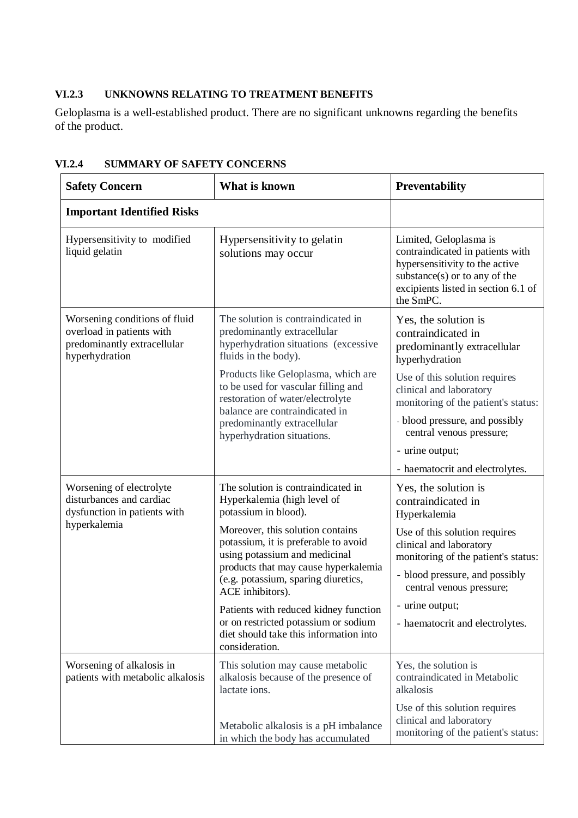### **VI.2.3 UNKNOWNS RELATING TO TREATMENT BENEFITS**

Geloplasma is a well-established product. There are no significant unknowns regarding the benefits of the product.

| <b>Safety Concern</b>                                                                                       | What is known                                                                                                                                                                                                                                                                         | Preventability                                                                                                                                                                                 |
|-------------------------------------------------------------------------------------------------------------|---------------------------------------------------------------------------------------------------------------------------------------------------------------------------------------------------------------------------------------------------------------------------------------|------------------------------------------------------------------------------------------------------------------------------------------------------------------------------------------------|
| <b>Important Identified Risks</b>                                                                           |                                                                                                                                                                                                                                                                                       |                                                                                                                                                                                                |
| Hypersensitivity to modified<br>liquid gelatin                                                              | Hypersensitivity to gelatin<br>solutions may occur                                                                                                                                                                                                                                    | Limited, Geloplasma is<br>contraindicated in patients with<br>hypersensitivity to the active<br>substance(s) or to any of the<br>excipients listed in section 6.1 of<br>the SmPC.              |
| Worsening conditions of fluid<br>overload in patients with<br>predominantly extracellular<br>hyperhydration | The solution is contraindicated in<br>predominantly extracellular<br>hyperhydration situations (excessive<br>fluids in the body).<br>Products like Geloplasma, which are<br>to be used for vascular filling and<br>restoration of water/electrolyte<br>balance are contraindicated in | Yes, the solution is<br>contraindicated in<br>predominantly extracellular<br>hyperhydration<br>Use of this solution requires<br>clinical and laboratory<br>monitoring of the patient's status: |
|                                                                                                             | predominantly extracellular<br>hyperhydration situations.                                                                                                                                                                                                                             | - blood pressure, and possibly<br>central venous pressure;<br>- urine output;                                                                                                                  |
|                                                                                                             |                                                                                                                                                                                                                                                                                       | - haematocrit and electrolytes.                                                                                                                                                                |
| Worsening of electrolyte<br>disturbances and cardiac<br>dysfunction in patients with                        | The solution is contraindicated in<br>Hyperkalemia (high level of<br>potassium in blood).                                                                                                                                                                                             | Yes, the solution is<br>contraindicated in<br>Hyperkalemia                                                                                                                                     |
| hyperkalemia                                                                                                | Moreover, this solution contains<br>potassium, it is preferable to avoid<br>using potassium and medicinal<br>products that may cause hyperkalemia<br>(e.g. potassium, sparing diuretics,<br>ACE inhibitors).                                                                          | Use of this solution requires<br>clinical and laboratory<br>monitoring of the patient's status:<br>- blood pressure, and possibly<br>central venous pressure;                                  |
|                                                                                                             | Patients with reduced kidney function<br>or on restricted potassium or sodium<br>diet should take this information into<br>consideration.                                                                                                                                             | - urine output;<br>- haematocrit and electrolytes.                                                                                                                                             |
| Worsening of alkalosis in<br>patients with metabolic alkalosis                                              | This solution may cause metabolic<br>alkalosis because of the presence of<br>lactate ions.                                                                                                                                                                                            | Yes, the solution is<br>contraindicated in Metabolic<br>alkalosis                                                                                                                              |
|                                                                                                             | Metabolic alkalosis is a pH imbalance<br>in which the body has accumulated                                                                                                                                                                                                            | Use of this solution requires<br>clinical and laboratory<br>monitoring of the patient's status:                                                                                                |

#### **VI.2.4 SUMMARY OF SAFETY CONCERNS**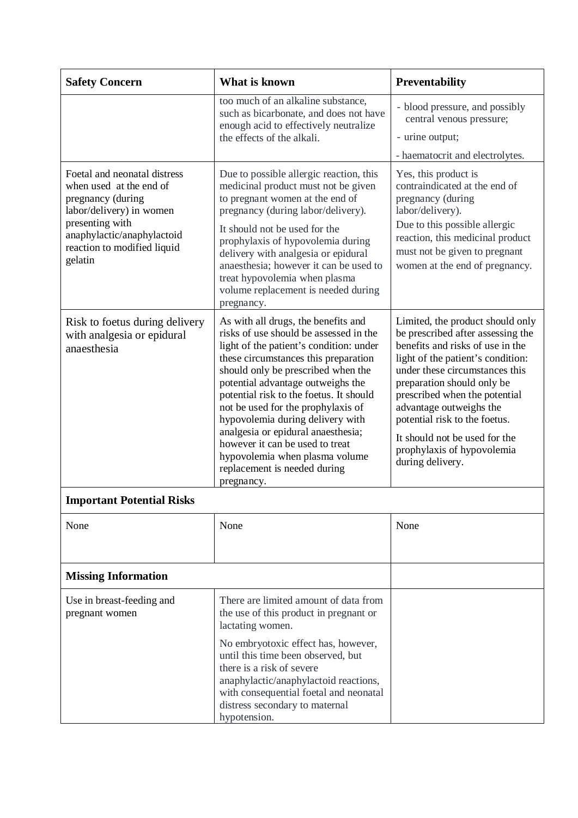| What is known<br><b>Safety Concern</b>                                                                                                                                                              |                                                                                                                                                                                                                                                                                                                                                                                                                                                                                                                           | Preventability                                                                                                                                                                                                                                                                                                                                                                                 |  |
|-----------------------------------------------------------------------------------------------------------------------------------------------------------------------------------------------------|---------------------------------------------------------------------------------------------------------------------------------------------------------------------------------------------------------------------------------------------------------------------------------------------------------------------------------------------------------------------------------------------------------------------------------------------------------------------------------------------------------------------------|------------------------------------------------------------------------------------------------------------------------------------------------------------------------------------------------------------------------------------------------------------------------------------------------------------------------------------------------------------------------------------------------|--|
|                                                                                                                                                                                                     | too much of an alkaline substance,<br>such as bicarbonate, and does not have<br>enough acid to effectively neutralize<br>the effects of the alkali.                                                                                                                                                                                                                                                                                                                                                                       | - blood pressure, and possibly<br>central venous pressure;<br>- urine output;<br>- haematocrit and electrolytes.                                                                                                                                                                                                                                                                               |  |
| Foetal and neonatal distress<br>when used at the end of<br>pregnancy (during<br>labor/delivery) in women<br>presenting with<br>anaphylactic/anaphylactoid<br>reaction to modified liquid<br>gelatin | Due to possible allergic reaction, this<br>medicinal product must not be given<br>to pregnant women at the end of<br>pregnancy (during labor/delivery).<br>It should not be used for the<br>prophylaxis of hypovolemia during<br>delivery with analgesia or epidural<br>anaesthesia; however it can be used to<br>treat hypovolemia when plasma<br>volume replacement is needed during<br>pregnancy.                                                                                                                      | Yes, this product is<br>contraindicated at the end of<br>pregnancy (during<br>labor/delivery).<br>Due to this possible allergic<br>reaction, this medicinal product<br>must not be given to pregnant<br>women at the end of pregnancy.                                                                                                                                                         |  |
| Risk to foetus during delivery<br>with analgesia or epidural<br>anaesthesia                                                                                                                         | As with all drugs, the benefits and<br>risks of use should be assessed in the<br>light of the patient's condition: under<br>these circumstances this preparation<br>should only be prescribed when the<br>potential advantage outweighs the<br>potential risk to the foetus. It should<br>not be used for the prophylaxis of<br>hypovolemia during delivery with<br>analgesia or epidural anaesthesia;<br>however it can be used to treat<br>hypovolemia when plasma volume<br>replacement is needed during<br>pregnancy. | Limited, the product should only<br>be prescribed after assessing the<br>benefits and risks of use in the<br>light of the patient's condition:<br>under these circumstances this<br>preparation should only be<br>prescribed when the potential<br>advantage outweighs the<br>potential risk to the foetus.<br>It should not be used for the<br>prophylaxis of hypovolemia<br>during delivery. |  |
| <b>Important Potential Risks</b>                                                                                                                                                                    |                                                                                                                                                                                                                                                                                                                                                                                                                                                                                                                           |                                                                                                                                                                                                                                                                                                                                                                                                |  |
| None                                                                                                                                                                                                | None                                                                                                                                                                                                                                                                                                                                                                                                                                                                                                                      | None                                                                                                                                                                                                                                                                                                                                                                                           |  |
| <b>Missing Information</b>                                                                                                                                                                          |                                                                                                                                                                                                                                                                                                                                                                                                                                                                                                                           |                                                                                                                                                                                                                                                                                                                                                                                                |  |
| Use in breast-feeding and<br>pregnant women                                                                                                                                                         | There are limited amount of data from<br>the use of this product in pregnant or<br>lactating women.<br>No embryotoxic effect has, however,<br>until this time been observed, but<br>there is a risk of severe<br>anaphylactic/anaphylactoid reactions,<br>with consequential foetal and neonatal<br>distress secondary to maternal<br>hypotension.                                                                                                                                                                        |                                                                                                                                                                                                                                                                                                                                                                                                |  |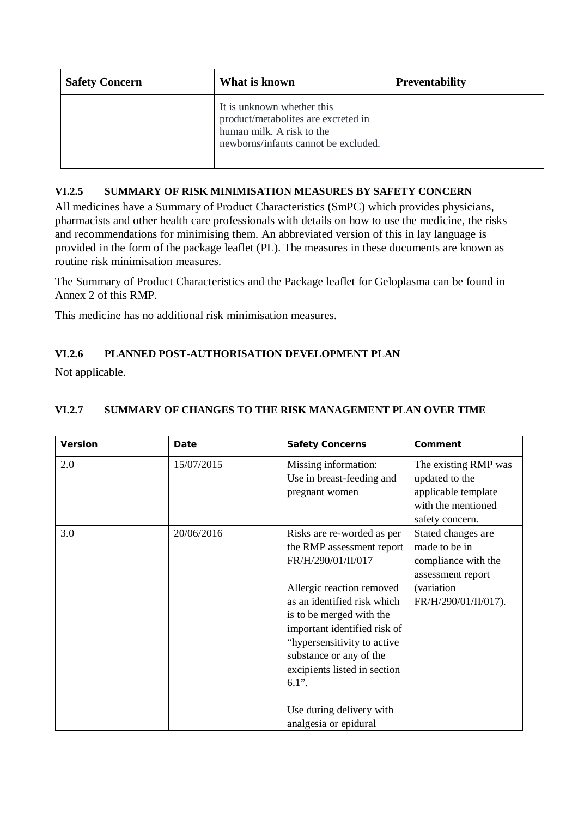| <b>Safety Concern</b> | What is known                                                                                                                          | <b>Preventability</b> |
|-----------------------|----------------------------------------------------------------------------------------------------------------------------------------|-----------------------|
|                       | It is unknown whether this<br>product/metabolites are excreted in<br>human milk. A risk to the<br>newborns/infants cannot be excluded. |                       |

### **VI.2.5 SUMMARY OF RISK MINIMISATION MEASURES BY SAFETY CONCERN**

All medicines have a Summary of Product Characteristics (SmPC) which provides physicians, pharmacists and other health care professionals with details on how to use the medicine, the risks and recommendations for minimising them. An abbreviated version of this in lay language is provided in the form of the package leaflet (PL). The measures in these documents are known as routine risk minimisation measures.

The Summary of Product Characteristics and the Package leaflet for Geloplasma can be found in Annex 2 of this RMP.

This medicine has no additional risk minimisation measures.

# **VI.2.6 PLANNED POST-AUTHORISATION DEVELOPMENT PLAN**

Not applicable.

| Version | Date       | Safety Concerns                                                                                                                                                                                                                                                                                                                                                  | Comment                                                                                                               |
|---------|------------|------------------------------------------------------------------------------------------------------------------------------------------------------------------------------------------------------------------------------------------------------------------------------------------------------------------------------------------------------------------|-----------------------------------------------------------------------------------------------------------------------|
| 2.0     | 15/07/2015 | Missing information:<br>Use in breast-feeding and<br>pregnant women                                                                                                                                                                                                                                                                                              | The existing RMP was<br>updated to the<br>applicable template<br>with the mentioned<br>safety concern.                |
| 3.0     | 20/06/2016 | Risks are re-worded as per<br>the RMP assessment report<br>FR/H/290/01/II/017<br>Allergic reaction removed<br>as an identified risk which<br>is to be merged with the<br>important identified risk of<br>"hypersensitivity to active<br>substance or any of the<br>excipients listed in section<br>$6.1$ ".<br>Use during delivery with<br>analgesia or epidural | Stated changes are<br>made to be in<br>compliance with the<br>assessment report<br>(variation<br>FR/H/290/01/II/017). |

## **VI.2.7 SUMMARY OF CHANGES TO THE RISK MANAGEMENT PLAN OVER TIME**